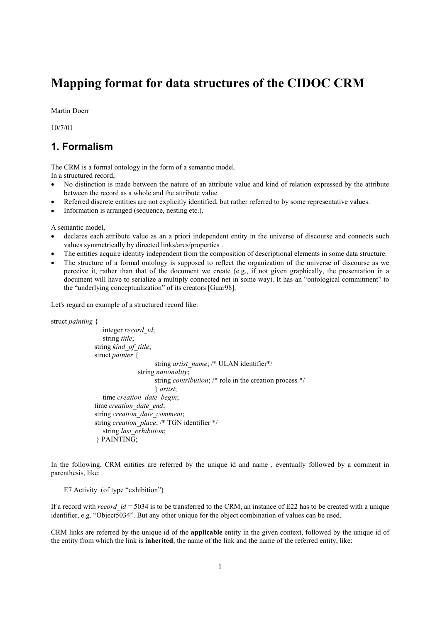# **Mapping format for data structures of the CIDOC CRM**

Martin Doerr

10/7/01

## **1. Formalism**

The CRM is a formal ontology in the form of a semantic model. In a structured record,

- No distinction is made between the nature of an attribute value and kind of relation expressed by the attribute between the record as a whole and the attribute value.
- Referred discrete entities are not explicitly identified, but rather referred to by some representative values.
- Information is arranged (sequence, nesting etc.).

A semantic model,

- declares each attribute value as an a priori independent entity in the universe of discourse and connects such values symmetrically by directed links/arcs/properties .
- The entities acquire identity independent from the composition of descriptional elements in some data structure.
- The structure of a formal ontology is supposed to reflect the organization of the universe of discourse as we perceive it, rather than that of the document we create (e.g., if not given graphically, the presentation in a document will have to serialize a multiply connected net in some way). It has an "ontological commitment" to the "underlying conceptualization" of its creators [Guar98].

Let's regard an example of a structured record like:

```
struct painting { 
                    integer record_id; 
                    string title; 
                 string kind_of_title; 
                 struct painter { 
                                       string artist_name; /* ULAN identifier*/
                                  string nationality; 
                                        string contribution; /* role in the creation process */ 
                                        } artist; 
                     time creation_date_begin; 
                 time creation_date_end; 
                 string creation_date_comment; 
                 string creation_place; /* TGN identifier */ 
                     string last_exhibition; 
                  } PAINTING;
```
In the following, CRM entities are referred by the unique id and name , eventually followed by a comment in parenthesis, like:

E7 Activity (of type "exhibition")

If a record with *record* id = 5034 is to be transferred to the CRM, an instance of E22 has to be created with a unique identifier, e.g. "Object5034". But any other unique for the object combination of values can be used.

CRM links are referred by the unique id of the **applicable** entity in the given context, followed by the unique id of the entity from which the link is **inherited**, the name of the link and the name of the referred entity, like: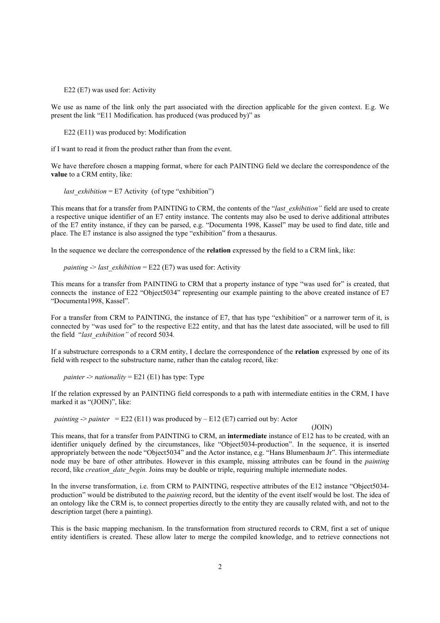E22 (E7) was used for: Activity

We use as name of the link only the part associated with the direction applicable for the given context. E.g. We present the link "E11 Modification. has produced (was produced by)" as

E22 (E11) was produced by: Modification

if I want to read it from the product rather than from the event.

We have therefore chosen a mapping format, where for each PAINTING field we declare the correspondence of the **value** to a CRM entity, like:

*last\_exhibition* = E7 Activity (of type "exhibition")

This means that for a transfer from PAINTING to CRM, the contents of the "*last\_exhibition"* field are used to create a respective unique identifier of an E7 entity instance. The contents may also be used to derive additional attributes of the E7 entity instance, if they can be parsed, e.g. "Documenta 1998, Kassel" may be used to find date, title and place. The E7 instance is also assigned the type "exhibition" from a thesaurus.

In the sequence we declare the correspondence of the **relation** expressed by the field to a CRM link, like:

*painting*  $>$  *last\_exhibition* = E22 (E7) was used for: Activity

This means for a transfer from PAINTING to CRM that a property instance of type "was used for" is created, that connects the instance of E22 "Object5034" representing our example painting to the above created instance of E7 "Documenta1998, Kassel".

For a transfer from CRM to PAINTING, the instance of E7, that has type "exhibition" or a narrower term of it, is connected by "was used for" to the respective E22 entity, and that has the latest date associated, will be used to fill the field "*last\_exhibition"* of record 5034*.*

If a substructure corresponds to a CRM entity, I declare the correspondence of the **relation** expressed by one of its field with respect to the substructure name, rather than the catalog record, like:

*painter*  $\rightarrow$  *nationality* = E21 (E1) has type: Type

If the relation expressed by an PAINTING field corresponds to a path with intermediate entities in the CRM, I have marked it as "(JOIN)", like:

*painting*  $\rightarrow$  *painter* = E22 (E11) was produced by – E12 (E7) carried out by: Actor

(JOIN)

This means, that for a transfer from PAINTING to CRM, an **intermediate** instance of E12 has to be created, with an identifier uniquely defined by the circumstances, like "Object5034-production". In the sequence, it is inserted appropriately between the node "Object5034" and the Actor instance, e.g. "Hans Blumenbaum Jr". This intermediate node may be bare of other attributes. However in this example, missing attributes can be found in the *painting* record, like *creation* date begin. Joins may be double or triple, requiring multiple intermediate nodes.

In the inverse transformation, i.e. from CRM to PAINTING, respective attributes of the E12 instance "Object5034 production" would be distributed to the *painting* record, but the identity of the event itself would be lost. The idea of an ontology like the CRM is, to connect properties directly to the entity they are causally related with, and not to the description target (here a painting).

This is the basic mapping mechanism. In the transformation from structured records to CRM, first a set of unique entity identifiers is created. These allow later to merge the compiled knowledge, and to retrieve connections not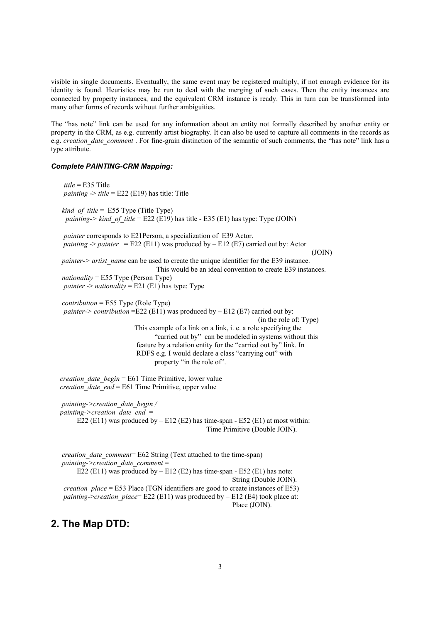visible in single documents. Eventually, the same event may be registered multiply, if not enough evidence for its identity is found. Heuristics may be run to deal with the merging of such cases. Then the entity instances are connected by property instances, and the equivalent CRM instance is ready. This in turn can be transformed into many other forms of records without further ambiguities.

The "has note" link can be used for any information about an entity not formally described by another entity or property in the CRM, as e.g. currently artist biography. It can also be used to capture all comments in the records as e.g. *creation date comment* . For fine-grain distinction of the semantic of such comments, the "has note" link has a type attribute.

#### *Complete PAINTING-CRM Mapping:*

| $title = E35$ Title<br><i>painting</i> $\rightarrow$ <i>title</i> = E22 (E19) has title: Title                                                                                                                                                                                                                                                                                                                                                              |
|-------------------------------------------------------------------------------------------------------------------------------------------------------------------------------------------------------------------------------------------------------------------------------------------------------------------------------------------------------------------------------------------------------------------------------------------------------------|
| <i>kind of title</i> = $E55$ Type (Title Type)<br><i>painting-&gt; kind of title</i> = E22 (E19) has title - E35 (E1) has type: Type (JOIN)                                                                                                                                                                                                                                                                                                                 |
| <i>painter</i> corresponds to E21Person, a specialization of E39 Actor.<br>painting -> painter = E22 (E11) was produced by - E12 (E7) carried out by: Actor<br>(JOIN)                                                                                                                                                                                                                                                                                       |
| painter-> artist_name can be used to create the unique identifier for the E39 instance.<br>This would be an ideal convention to create E39 instances.<br>$nationality = E55$ Type (Person Type)<br><i>painter -&gt; nationality</i> = $E21$ (E1) has type: Type                                                                                                                                                                                             |
| $contribution = E55$ Type (Role Type)<br><i>painter-&gt; contribution</i> = $E22$ ( $E11$ ) was produced by – $E12$ ( $E7$ ) carried out by:<br>(in the role of: Type)<br>This example of a link on a link, i. e. a role specifying the<br>"carried out by" can be modeled in systems without this<br>feature by a relation entity for the "carried out by" link. In<br>RDFS e.g. I would declare a class "carrying out" with<br>property "in the role of". |
| <i>creation date begin</i> = E61 Time Primitive, lower value<br><i>creation date end</i> = $E61$ Time Primitive, upper value                                                                                                                                                                                                                                                                                                                                |
| painting->creation date begin /<br>painting->creation date end $=$<br>E22 (E11) was produced by $-$ E12 (E2) has time-span - E52 (E1) at most within:<br>Time Primitive (Double JOIN).                                                                                                                                                                                                                                                                      |
| creation date comment= E62 String (Text attached to the time-span)<br>painting->creation date comment=<br>E22 (E11) was produced by $-$ E12 (E2) has time-span $-$ E52 (E1) has note:<br>String (Double JOIN).<br><i>creation place</i> = E53 Place (TGN identifiers are good to create instances of E53)<br><i>painting-&gt;creation place</i> = E22 (E11) was produced by $- E12$ (E4) took place at:<br>Place (JOIN).                                    |

### **2. The Map DTD:**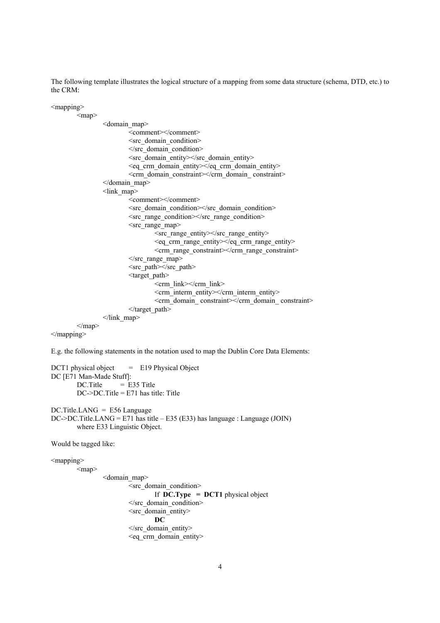The following template illustrates the logical structure of a mapping from some data structure (schema, DTD, etc.) to the CRM:

```
<mapping><map><domain_map> 
                             <comment></comment> 
                            <src_domain_condition> 
                            \le/src_domain_condition>
                            \langlesrc_domain_entity>\langlesrc_domain_entity>\leqeq crm domain entity\geqleq crm domain entity\geq\leqcrm domain constraint\geqcrm domain constraint\geq</domain_map> 
                  <link_map> 
                             <comment></comment> 
                            <src_domain_condition></src_domain_condition> 
                            <src_range_condition></src_range_condition> 
                            \leqsrc range map>\langlesrc range entity\langlesrc range entity\rangle\leqeq crm range entity\geqeq crm range entity\geq\leqcrm range constraint\geqcrm range constraint\geq\le/src_range_map>
                            \langlesrc path\rangle\langlesrc path><target_path> 
                                     \epsilon / \epsilon link\epsilon / \epsilon link\epsilon <crm_interm_entity></crm_interm_entity> 
                                     \leqcrm_domain_constraint\geqcrm_domain_constraint\geq\triangle/target path></link_map> 
         </map></mapping>
```
E.g. the following statements in the notation used to map the Dublin Core Data Elements:

```
DCT1 physical object = E19 Physical Object
DC [E71 Man-Made Stuff]: 
        DC. Title = E35 TitleDC\rightarrow DC. Title = E71 has title: Title
```
DC.Title.LANG = E56 Language DC->DC.Title.LANG = E71 has title – E35 (E33) has language : Language (JOIN) where E33 Linguistic Object.

Would be tagged like:

 $<$ mapping $>$ 

 $<$ map $>$ 

```
 <domain_map> 
         <src_domain_condition> 
                  If DC.Type = DCT1 physical object 
        </src_domain_condition> 
        <src_domain_entity> 
                 DC 
        \le/src_domain_entity>
        \leqeq crm domain entity>
```